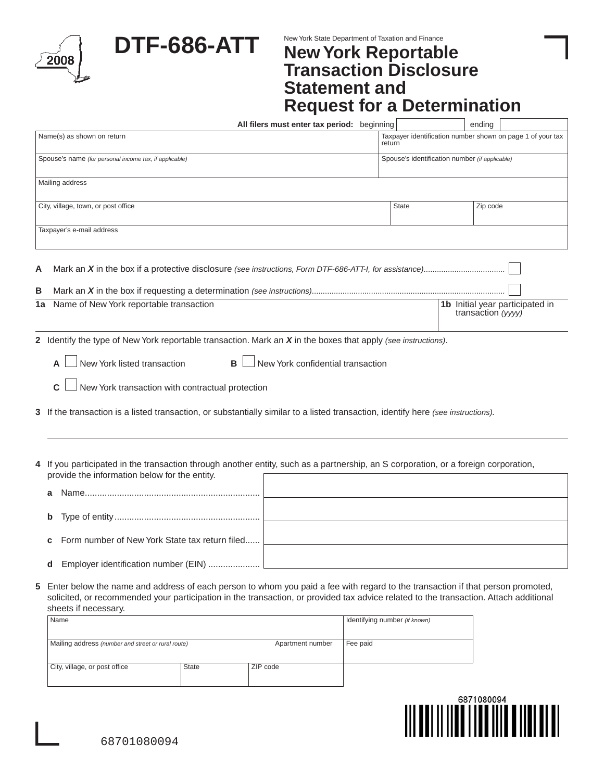|              |                                                                                                                                                                                                                                                                                                 | DTF-686-ATT                   | New York State Department of Taxation and Finance<br><b>New York Reportable</b><br><b>Transaction Disclosure</b><br><b>Statement and</b><br><b>Request for a Determination</b> |  |              |  |                                                       |
|--------------|-------------------------------------------------------------------------------------------------------------------------------------------------------------------------------------------------------------------------------------------------------------------------------------------------|-------------------------------|--------------------------------------------------------------------------------------------------------------------------------------------------------------------------------|--|--------------|--|-------------------------------------------------------|
|              |                                                                                                                                                                                                                                                                                                 |                               | All filers must enter tax period: beginning                                                                                                                                    |  |              |  | ending                                                |
|              | Name(s) as shown on return                                                                                                                                                                                                                                                                      |                               | Taxpayer identification number shown on page 1 of your tax<br>return                                                                                                           |  |              |  |                                                       |
|              | Spouse's name (for personal income tax, if applicable)                                                                                                                                                                                                                                          |                               | Spouse's identification number (if applicable)                                                                                                                                 |  |              |  |                                                       |
|              | Mailing address                                                                                                                                                                                                                                                                                 |                               |                                                                                                                                                                                |  |              |  |                                                       |
|              | City, village, town, or post office                                                                                                                                                                                                                                                             |                               |                                                                                                                                                                                |  | <b>State</b> |  | Zip code                                              |
|              | Taxpayer's e-mail address                                                                                                                                                                                                                                                                       |                               |                                                                                                                                                                                |  |              |  |                                                       |
|              |                                                                                                                                                                                                                                                                                                 |                               |                                                                                                                                                                                |  |              |  |                                                       |
| A<br>В<br>1a | Name of New York reportable transaction                                                                                                                                                                                                                                                         |                               |                                                                                                                                                                                |  |              |  | 1b Initial year participated in<br>transaction (yyyy) |
|              | New York listed transaction<br>C<br>New York transaction with contractual protection<br>3 If the transaction is a listed transaction, or substantially similar to a listed transaction, identify here (see instructions).                                                                       | в                             | New York confidential transaction                                                                                                                                              |  |              |  |                                                       |
|              | 4 If you participated in the transaction through another entity, such as a partnership, an S corporation, or a foreign corporation,<br>provide the information below for the entity.                                                                                                            |                               |                                                                                                                                                                                |  |              |  |                                                       |
|              | a                                                                                                                                                                                                                                                                                               |                               |                                                                                                                                                                                |  |              |  |                                                       |
|              |                                                                                                                                                                                                                                                                                                 |                               |                                                                                                                                                                                |  |              |  |                                                       |
|              | b                                                                                                                                                                                                                                                                                               |                               |                                                                                                                                                                                |  |              |  |                                                       |
|              | Form number of New York State tax return filed<br>с                                                                                                                                                                                                                                             |                               |                                                                                                                                                                                |  |              |  |                                                       |
|              | Employer identification number (EIN)<br>d                                                                                                                                                                                                                                                       |                               |                                                                                                                                                                                |  |              |  |                                                       |
| 5            | Enter below the name and address of each person to whom you paid a fee with regard to the transaction if that person promoted,<br>solicited, or recommended your participation in the transaction, or provided tax advice related to the transaction. Attach additional<br>sheets if necessary. |                               |                                                                                                                                                                                |  |              |  |                                                       |
|              | Name                                                                                                                                                                                                                                                                                            | Identifying number (if known) |                                                                                                                                                                                |  |              |  |                                                       |
|              | Mailing address (number and street or rural route)                                                                                                                                                                                                                                              | Fee paid                      |                                                                                                                                                                                |  |              |  |                                                       |
|              | City, village, or post office                                                                                                                                                                                                                                                                   | <b>State</b>                  | ZIP code                                                                                                                                                                       |  |              |  |                                                       |



L